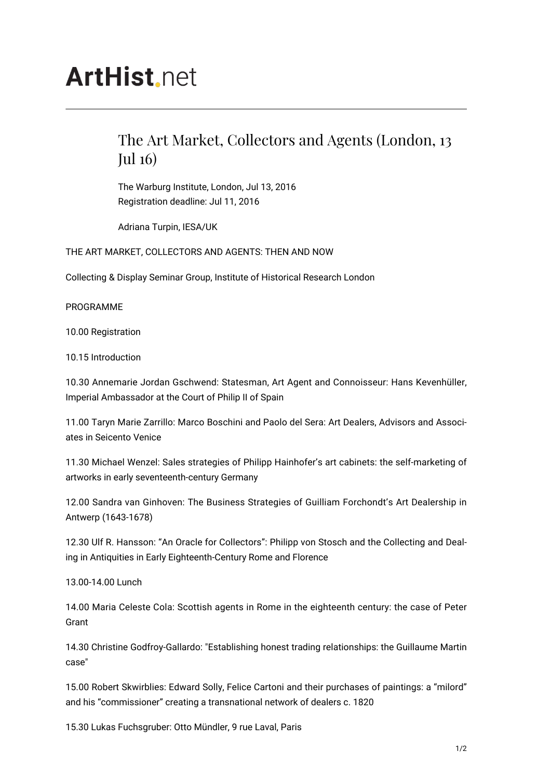## **ArtHist** net

## The Art Market, Collectors and Agents (London, 13 Jul 16)

The Warburg Institute, London, Jul 13, 2016 Registration deadline: Jul 11, 2016

Adriana Turpin, IESA/UK

THE ART MARKET, COLLECTORS AND AGENTS: THEN AND NOW

Collecting & Display Seminar Group, Institute of Historical Research London

PROGRAMME

10.00 Registration

10.15 Introduction

10.30 Annemarie Jordan Gschwend: Statesman, Art Agent and Connoisseur: Hans Kevenhüller, Imperial Ambassador at the Court of Philip II of Spain

11.00 Taryn Marie Zarrillo: Marco Boschini and Paolo del Sera: Art Dealers, Advisors and Associates in Seicento Venice

11.30 Michael Wenzel: Sales strategies of Philipp Hainhofer's art cabinets: the self-marketing of artworks in early seventeenth-century Germany

12.00 Sandra van Ginhoven: The Business Strategies of Guilliam Forchondt's Art Dealership in Antwerp (1643-1678)

12.30 Ulf R. Hansson: "An Oracle for Collectors": Philipp von Stosch and the Collecting and Dealing in Antiquities in Early Eighteenth-Century Rome and Florence

13.00-14.00 Lunch

14.00 Maria Celeste Cola: Scottish agents in Rome in the eighteenth century: the case of Peter Grant

14.30 Christine Godfroy-Gallardo: "Establishing honest trading relationships: the Guillaume Martin case"

15.00 Robert Skwirblies: Edward Solly, Felice Cartoni and their purchases of paintings: a "milord" and his "commissioner" creating a transnational network of dealers c. 1820

15.30 Lukas Fuchsgruber: Otto Mündler, 9 rue Laval, Paris